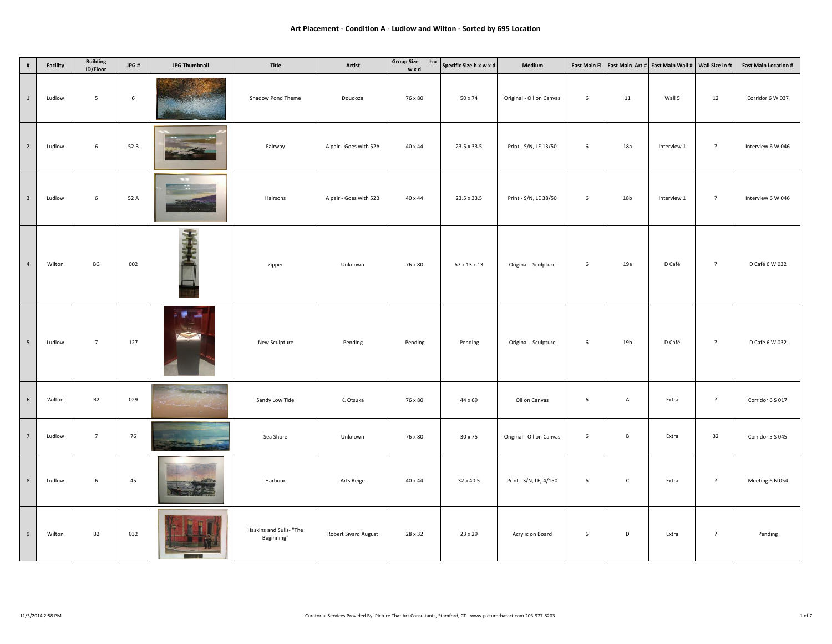| $\#$                    | Facility | <b>Building</b><br>ID/Floor | JPG#            | <b>JPG Thumbnail</b>          | Title                                 | Artist                      | <b>Group Size</b><br>hx<br>wxd | Specific Size h x w x d | Medium                   | <b>East Main Fl</b> |                 | East Main Art # East Main Wall #   Wall Size in ft |                | <b>East Main Location #</b> |
|-------------------------|----------|-----------------------------|-----------------|-------------------------------|---------------------------------------|-----------------------------|--------------------------------|-------------------------|--------------------------|---------------------|-----------------|----------------------------------------------------|----------------|-----------------------------|
| $\,$ 1 $\,$             | Ludlow   | 5                           | $6\phantom{.0}$ |                               | Shadow Pond Theme                     | Doudoza                     | 76 x 80                        | 50 x 74                 | Original - Oil on Canvas | 6                   | 11              | Wall 5                                             | 12             | Corridor 6 W 037            |
| $\overline{2}$          | Ludlow   | $\,$ 6 $\,$                 | 52 B            |                               | Fairway                               | A pair - Goes with 52A      | 40 x 44                        | 23.5 x 33.5             | Print - S/N, LE 13/50    | 6                   | 18a             | Interview 1                                        | $\overline{?}$ | Interview 6 W 046           |
| $\overline{\mathbf{3}}$ | Ludlow   | 6                           | 52 A            |                               | Hairsons                              | A pair - Goes with 52B      | 40 x 44                        | 23.5 x 33.5             | Print - S/N, LE 38/50    | 6                   | 18 <sub>b</sub> | Interview 1                                        | $\overline{?}$ | Interview 6 W 046           |
| $\overline{4}$          | Wilton   | BG                          | 002             |                               | Zipper                                | Unknown                     | 76 x 80                        | 67 x 13 x 13            | Original - Sculpture     | 6                   | 19a             | D Café                                             | $\overline{?}$ | D Café 6 W 032              |
| $\overline{5}$          | Ludlow   | $7\overline{ }$             | 127             |                               | New Sculpture                         | Pending                     | Pending                        | Pending                 | Original - Sculpture     | 6                   | 19 <sub>b</sub> | D Café                                             | $\overline{?}$ | D Café 6 W 032              |
| 6                       | Wilton   | <b>B2</b>                   | 029             | <b>Share part of children</b> | Sandy Low Tide                        | K. Otsuka                   | 76 x 80                        | 44 x 69                 | Oil on Canvas            | 6                   | $\overline{A}$  | Extra                                              | $\overline{?}$ | Corridor 6 S 017            |
| $7\overline{ }$         | Ludlow   | $7\overline{ }$             | 76              |                               | Sea Shore                             | Unknown                     | 76 x 80                        | 30 x 75                 | Original - Oil on Canvas | 6                   | $\mathsf{B}$    | Extra                                              | 32             | Corridor 5 S 045            |
| $\,$ 8 $\,$             | Ludlow   | 6                           | 45              |                               | Harbour                               | Arts Reige                  | 40 x 44                        | 32 x 40.5               | Print - S/N, LE, 4/150   | 6                   | $\mathsf C$     | Extra                                              | $\overline{?}$ | Meeting 6 N 054             |
| $\overline{9}$          | Wilton   | <b>B2</b>                   | 032             |                               | Haskins and Sulls- "The<br>Beginning" | <b>Robert Sivard August</b> | 28 x 32                        | 23 x 29                 | Acrylic on Board         | 6                   | D               | Extra                                              | $\overline{?}$ | Pending                     |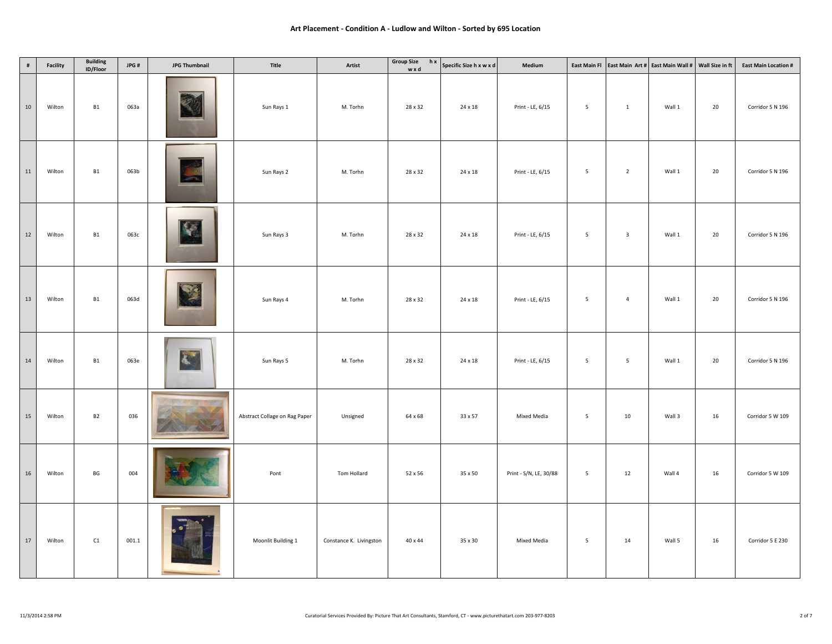| $\#$   | Facility | <b>Building</b><br>ID/Floor | JPG#  | <b>JPG Thumbnail</b> | Title                         | Artist                  | <b>Group Size</b><br>hx<br>wxd | Specific Size h x w x d | Medium                 | <b>East Main Fl</b> |                         | East Main Art # East Main Wall #   Wall Size in ft |    | <b>East Main Location #</b> |
|--------|----------|-----------------------------|-------|----------------------|-------------------------------|-------------------------|--------------------------------|-------------------------|------------------------|---------------------|-------------------------|----------------------------------------------------|----|-----------------------------|
| $10\,$ | Wilton   | B1                          | 063a  |                      | Sun Rays 1                    | M. Torhn                | 28 x 32                        | 24 x 18                 | Print - LE, 6/15       | $5\phantom{.0}$     | $\mathbf{1}$            | Wall 1                                             | 20 | Corridor 5 N 196            |
| 11     | Wilton   | B1                          | 063b  |                      | Sun Rays 2                    | M. Torhn                | 28 x 32                        | 24 x 18                 | Print - LE, 6/15       | $5\overline{ }$     | $\overline{2}$          | Wall 1                                             | 20 | Corridor 5 N 196            |
| 12     | Wilton   | <b>B1</b>                   | 063c  |                      | Sun Rays 3                    | M. Torhn                | 28 x 32                        | 24 x 18                 | Print - LE, 6/15       | 5                   | $\overline{\mathbf{3}}$ | Wall 1                                             | 20 | Corridor 5 N 196            |
| 13     | Wilton   | <b>B1</b>                   | 063d  |                      | Sun Rays 4                    | M. Torhn                | 28 x 32                        | 24 x 18                 | Print - LE, 6/15       | 5                   | $\overline{4}$          | Wall 1                                             | 20 | Corridor 5 N 196            |
| $14\,$ | Wilton   | B1                          | 063e  | $\mathbf{k}$         | Sun Rays 5                    | M. Torhn                | 28 x 32                        | 24 x 18                 | Print - LE, 6/15       | $5\overline{5}$     | $5\overline{5}$         | Wall 1                                             | 20 | Corridor 5 N 196            |
| 15     | Wilton   | <b>B2</b>                   | 036   |                      | Abstract Collage on Rag Paper | Unsigned                | 64 x 68                        | 33 x 57                 | Mixed Media            | $5\overline{5}$     | 10                      | Wall 3                                             | 16 | Corridor 5 W 109            |
| $16\,$ | Wilton   | BG                          | 004   |                      | Pont                          | Tom Hollard             | 52 x 56                        | 35 x 50                 | Print - S/N, LE, 30/88 | 5                   | 12                      | Wall 4                                             | 16 | Corridor 5 W 109            |
| $17\,$ | Wilton   | C1                          | 001.1 |                      | Moonlit Building 1            | Constance K. Livingston | 40 x 44                        | 35 x 30                 | Mixed Media            | $5\overline{5}$     | 14                      | Wall 5                                             | 16 | Corridor 5 E 230            |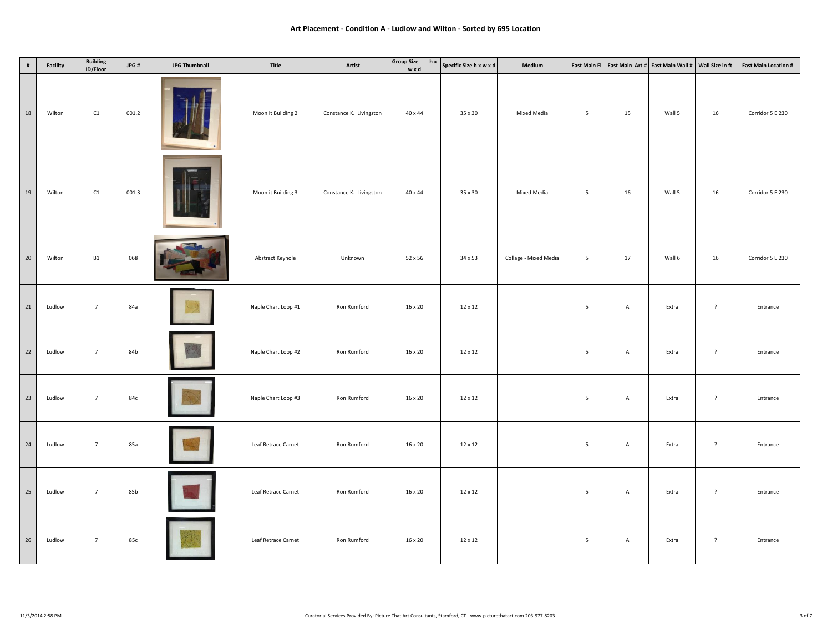| $\#$            | Facility | <b>Building</b><br>ID/Floor | JPG#  | <b>JPG Thumbnail</b> | Title               | Artist                  | <b>Group Size</b><br>hx<br>wxd | Specific Size h x w x d | Medium                | East Main Fl    |                | East Main Art # East Main Wall # | Wall Size in ft | <b>East Main Location #</b> |
|-----------------|----------|-----------------------------|-------|----------------------|---------------------|-------------------------|--------------------------------|-------------------------|-----------------------|-----------------|----------------|----------------------------------|-----------------|-----------------------------|
| 18              | Wilton   | C1                          | 001.2 |                      | Moonlit Building 2  | Constance K. Livingston | 40 x 44                        | 35 x 30                 | Mixed Media           | $5\overline{5}$ | 15             | Wall 5                           | 16              | Corridor 5 E 230            |
| 19              | Wilton   | C1                          | 001.3 |                      | Moonlit Building 3  | Constance K. Livingston | 40 x 44                        | 35 x 30                 | Mixed Media           | $5\overline{5}$ | 16             | Wall 5                           | 16              | Corridor 5 E 230            |
| $20\degree$     | Wilton   | B1                          | 068   |                      | Abstract Keyhole    | Unknown                 | 52 x 56                        | 34 x 53                 | Collage - Mixed Media | $5\overline{5}$ | $17\,$         | Wall 6                           | 16              | Corridor 5 E 230            |
| 21              | Ludlow   | $7\overline{ }$             | 84a   |                      | Naple Chart Loop #1 | Ron Rumford             | 16 x 20                        | 12 x 12                 |                       | 5               | $\overline{A}$ | Extra                            | $\overline{?}$  | Entrance                    |
| 22              | Ludlow   | $7\overline{ }$             | 84b   |                      | Naple Chart Loop #2 | Ron Rumford             | 16 x 20                        | 12 x 12                 |                       | $5\overline{5}$ | $\mathsf{A}$   | Extra                            | $\overline{?}$  | Entrance                    |
| 23              | Ludlow   | $7\overline{ }$             | 84c   |                      | Naple Chart Loop #3 | Ron Rumford             | 16 x 20                        | 12 x 12                 |                       | $5\overline{5}$ | $\mathsf A$    | Extra                            | $\overline{?}$  | Entrance                    |
| 24              | Ludlow   | $7\overline{ }$             | 85a   |                      | Leaf Retrace Carnet | Ron Rumford             | 16 x 20                        | 12 x 12                 |                       | $5\overline{5}$ | $\mathsf{A}$   | Extra                            | $\overline{?}$  | Entrance                    |
| 25              | Ludlow   | $7\overline{ }$             | 85b   |                      | Leaf Retrace Carnet | Ron Rumford             | 16 x 20                        | 12 x 12                 |                       | $5\overline{5}$ | A              | Extra                            | $\overline{?}$  | Entrance                    |
| $26\phantom{.}$ | Ludlow   | $7\overline{ }$             | 85c   |                      | Leaf Retrace Carnet | Ron Rumford             | 16 x 20                        | 12 x 12                 |                       | 5               | A              | Extra                            | $\overline{?}$  | Entrance                    |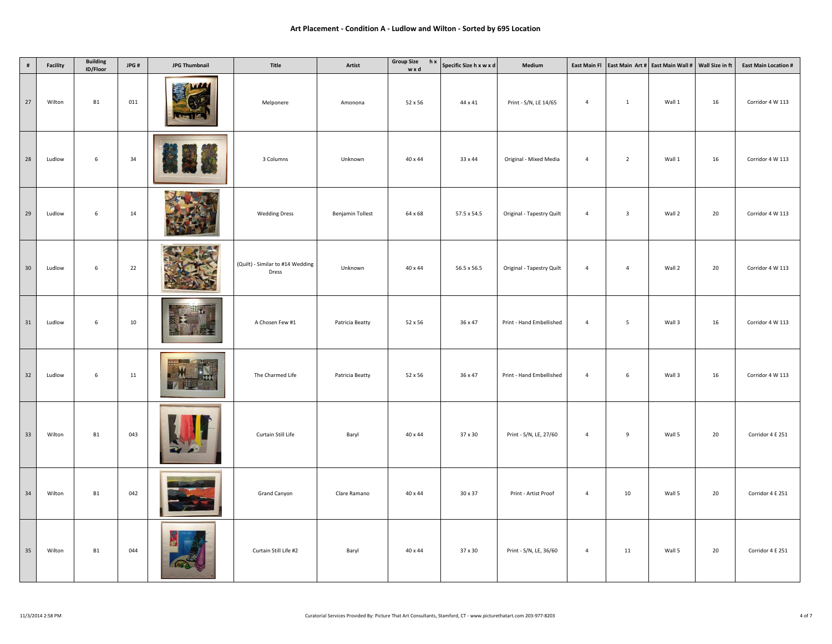| $\#$            | Facility | <b>Building</b><br>ID/Floor | JPG#   | <b>JPG Thumbnail</b>                    | Title                                     | Artist                  | <b>Group Size</b><br>hx<br>wxd | Specific Size h x w x d | Medium                    | <b>East Main Fl</b> |                         | East Main Art # East Main Wall # | Wall Size in ft | <b>East Main Location #</b> |
|-----------------|----------|-----------------------------|--------|-----------------------------------------|-------------------------------------------|-------------------------|--------------------------------|-------------------------|---------------------------|---------------------|-------------------------|----------------------------------|-----------------|-----------------------------|
| 27              | Wilton   | <b>B1</b>                   | 011    | WA<br>COL<br>$\overline{a}$             | Melponere                                 | Amonona                 | 52 x 56                        | 44 x 41                 | Print - S/N, LE 14/65     | $\overline{4}$      | $\mathbf{1}$            | Wall 1                           | 16              | Corridor 4 W 113            |
| 28              | Ludlow   | 6                           | 34     |                                         | 3 Columns                                 | Unknown                 | 40 x 44                        | 33 x 44                 | Original - Mixed Media    | $\overline{4}$      | $\overline{2}$          | Wall 1                           | 16              | Corridor 4 W 113            |
| 29              | Ludlow   | 6                           | 14     |                                         | <b>Wedding Dress</b>                      | <b>Benjamin Tollest</b> | 64 x 68                        | 57.5 x 54.5             | Original - Tapestry Quilt | $\overline{4}$      | $\overline{\mathbf{3}}$ | Wall 2                           | 20              | Corridor 4 W 113            |
| 30 <sup>°</sup> | Ludlow   | 6                           | 22     |                                         | (Quilt) - Similar to #14 Wedding<br>Dress | Unknown                 | 40 x 44                        | 56.5 x 56.5             | Original - Tapestry Quilt | $\overline{4}$      | $\overline{4}$          | Wall 2                           | 20              | Corridor 4 W 113            |
| 31              | Ludlow   | 6                           | 10     | $\mathbb{R}^{n}$                        | A Chosen Few #1                           | Patricia Beatty         | 52 x 56                        | 36 x 47                 | Print - Hand Embellished  | $\overline{4}$      | 5                       | Wall 3                           | 16              | Corridor 4 W 113            |
| 32              | Ludlow   | 6                           | $11\,$ | <b>TEST - PORT</b><br>M<br>Exx          | The Charmed Life                          | Patricia Beatty         | 52 x 56                        | 36 x 47                 | Print - Hand Embellished  | $\overline{4}$      | $\,$ 6 $\,$             | Wall 3                           | 16              | Corridor 4 W 113            |
| 33              | Wilton   | <b>B1</b>                   | 043    | $\overline{\mathbf{u}}$<br>$\mathbf{z}$ | Curtain Still Life                        | Baryl                   | 40 x 44                        | 37 x 30                 | Print - S/N, LE, 27/60    | $\overline{4}$      | 9                       | Wall 5                           | 20              | Corridor 4 E 251            |
| $34$            | Wilton   | <b>B1</b>                   | 042    |                                         | Grand Canyon                              | Clare Ramano            | 40 x 44                        | 30 x 37                 | Print - Artist Proof      | $\overline{4}$      | 10                      | Wall 5                           | 20              | Corridor 4 E 251            |
| 35              | Wilton   | <b>B1</b>                   | 044    | 國                                       | Curtain Still Life #2                     | Baryl                   | 40 x 44                        | 37 x 30                 | Print - S/N, LE, 36/60    | $\overline{4}$      | 11                      | Wall 5                           | 20              | Corridor 4 E 251            |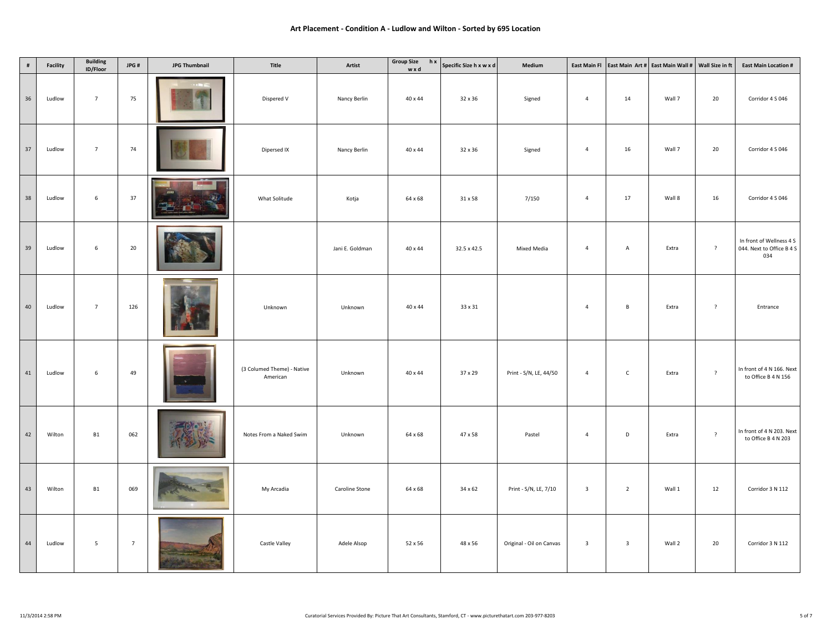| $\#$ | Facility | <b>Building</b><br>ID/Floor | JPG#            | <b>JPG Thumbnail</b> | Title                                  | Artist          | <b>Group Size</b><br>hx<br>wxd | Specific Size h x w x d | Medium                   | East Main Fl            |                         | East Main Art # East Main Wall #   Wall Size in ft |                | <b>East Main Location #</b>                                  |
|------|----------|-----------------------------|-----------------|----------------------|----------------------------------------|-----------------|--------------------------------|-------------------------|--------------------------|-------------------------|-------------------------|----------------------------------------------------|----------------|--------------------------------------------------------------|
| 36   | Ludlow   | $7\overline{ }$             | 75              |                      | Dispered V                             | Nancy Berlin    | 40 x 44                        | 32 x 36                 | Signed                   | $\overline{4}$          | 14                      | Wall 7                                             | 20             | Corridor 4 S 046                                             |
| 37   | Ludlow   | $7\overline{ }$             | 74              |                      | Dipersed IX                            | Nancy Berlin    | 40 x 44                        | 32 x 36                 | Signed                   | $\overline{4}$          | 16                      | Wall 7                                             | 20             | Corridor 4 S 046                                             |
| 38   | Ludlow   | 6                           | 37              |                      | What Solitude                          | Kotja           | 64 x 68                        | 31 x 58                 | 7/150                    | $\overline{4}$          | 17                      | Wall 8                                             | 16             | Corridor 4 S 046                                             |
| 39   | Ludlow   | $6\phantom{.0}$             | 20              |                      |                                        | Jani E. Goldman | 40 x 44                        | 32.5 x 42.5             | Mixed Media              | $\overline{4}$          | A                       | Extra                                              | $\overline{?}$ | In front of Wellness 4 S<br>044. Next to Office B 4 S<br>034 |
| 40   | Ludlow   | $7\overline{ }$             | 126             |                      | Unknown                                | Unknown         | 40 x 44                        | 33 x 31                 |                          | $\overline{4}$          | $\, {\bf B} \,$         | Extra                                              | $\overline{?}$ | Entrance                                                     |
| 41   | Ludlow   | $6\overline{6}$             | 49              |                      | (3 Columed Theme) - Native<br>American | Unknown         | 40 x 44                        | 37 x 29                 | Print - S/N, LE, 44/50   | $\overline{4}$          | $\overline{C}$          | Extra                                              | $\overline{?}$ | In front of 4 N 166. Next<br>to Office B 4 N 156             |
| 42   | Wilton   | <b>B1</b>                   | 062             |                      | Notes From a Naked Swim                | Unknown         | 64 x 68                        | 47 x 58                 | Pastel                   | $\overline{4}$          | D                       | Extra                                              | $\overline{?}$ | In front of 4 N 203. Next<br>to Office B 4 N 203             |
| 43   | Wilton   | <b>B1</b>                   | 069             |                      | My Arcadia                             | Caroline Stone  | 64 x 68                        | 34 x 62                 | Print - S/N, LE, 7/10    | $\overline{\mathbf{3}}$ | $\overline{2}$          | Wall 1                                             | 12             | Corridor 3 N 112                                             |
| 44   | Ludlow   | $5\overline{5}$             | $7\overline{ }$ |                      | Castle Valley                          | Adele Alsop     | 52 x 56                        | 48 x 56                 | Original - Oil on Canvas | $\overline{\mathbf{3}}$ | $\overline{\mathbf{3}}$ | Wall 2                                             | 20             | Corridor 3 N 112                                             |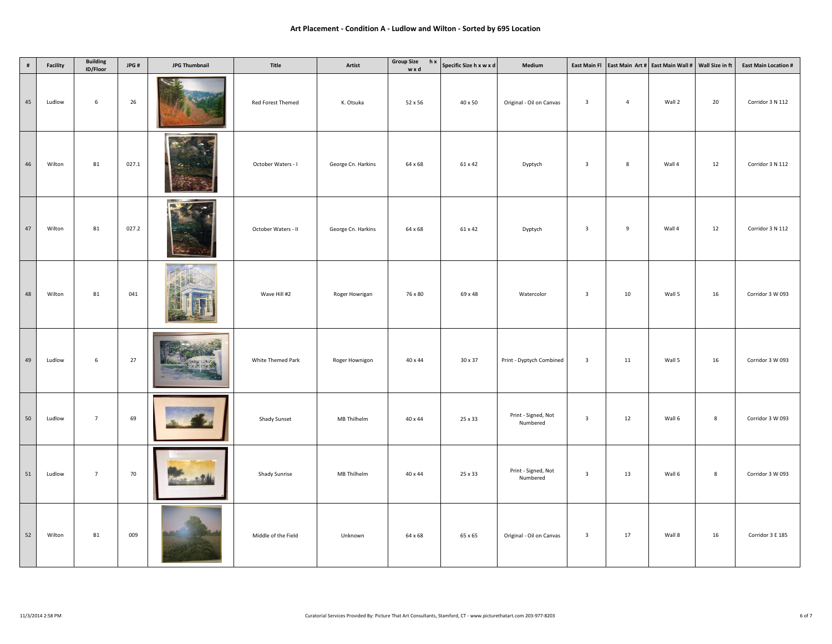| $\#$   | Facility | <b>Building</b><br>ID/Floor | JPG#  | <b>JPG Thumbnail</b> | Title               | Artist             | <b>Group Size</b><br>hx<br>wxd | Specific Size h x w x d | Medium                          | <b>East Main Fl</b>     |                | East Main Art # East Main Wall #   Wall Size in ft |        | <b>East Main Location #</b> |
|--------|----------|-----------------------------|-------|----------------------|---------------------|--------------------|--------------------------------|-------------------------|---------------------------------|-------------------------|----------------|----------------------------------------------------|--------|-----------------------------|
| 45     | Ludlow   | $6\phantom{.0}$             | 26    | چپ                   | Red Forest Themed   | K. Otsuka          | 52 x 56                        | 40 x 50                 | Original - Oil on Canvas        | $\overline{\mathbf{3}}$ | $\overline{4}$ | Wall 2                                             | 20     | Corridor 3 N 112            |
| 46     | Wilton   | B1                          | 027.1 |                      | October Waters - I  | George Cn. Harkins | 64 x 68                        | 61 x 42                 | Dyptych                         | $\overline{\mathbf{3}}$ | 8              | Wall 4                                             | 12     | Corridor 3 N 112            |
| $47\,$ | Wilton   | B1                          | 027.2 |                      | October Waters - II | George Cn. Harkins | 64 x 68                        | 61 x 42                 | Dyptych                         | $\overline{\mathbf{3}}$ | 9              | Wall 4                                             | $12\,$ | Corridor 3 N 112            |
| 48     | Wilton   | <b>B1</b>                   | 041   |                      | Wave Hill #2        | Roger Howrigan     | 76 x 80                        | 69 x 48                 | Watercolor                      | $\overline{\mathbf{3}}$ | 10             | Wall 5                                             | 16     | Corridor 3 W 093            |
| 49     | Ludlow   | $\,$ 6 $\,$                 | 27    |                      | White Themed Park   | Roger Hownigon     | 40 x 44                        | 30 x 37                 | Print - Dyptych Combined        | $\overline{\mathbf{3}}$ | 11             | Wall 5                                             | 16     | Corridor 3 W 093            |
| 50     | Ludlow   | $7^{\circ}$                 | 69    |                      | <b>Shady Sunset</b> | MB Thilhelm        | 40 x 44                        | 25 x 33                 | Print - Signed, Not<br>Numbered | $\overline{\mathbf{3}}$ | 12             | Wall 6                                             | 8      | Corridor 3 W 093            |
| $51\,$ | Ludlow   | $7\overline{ }$             | 70    |                      | Shady Sunrise       | MB Thilhelm        | 40 x 44                        | 25 x 33                 | Print - Signed, Not<br>Numbered | $\overline{\mathbf{3}}$ | 13             | Wall 6                                             | 8      | Corridor 3 W 093            |
| 52     | Wilton   | <b>B1</b>                   | 009   |                      | Middle of the Field | Unknown            | 64 x 68                        | 65 x 65                 | Original - Oil on Canvas        | $\overline{\mathbf{3}}$ | 17             | Wall 8                                             | 16     | Corridor 3 E 185            |